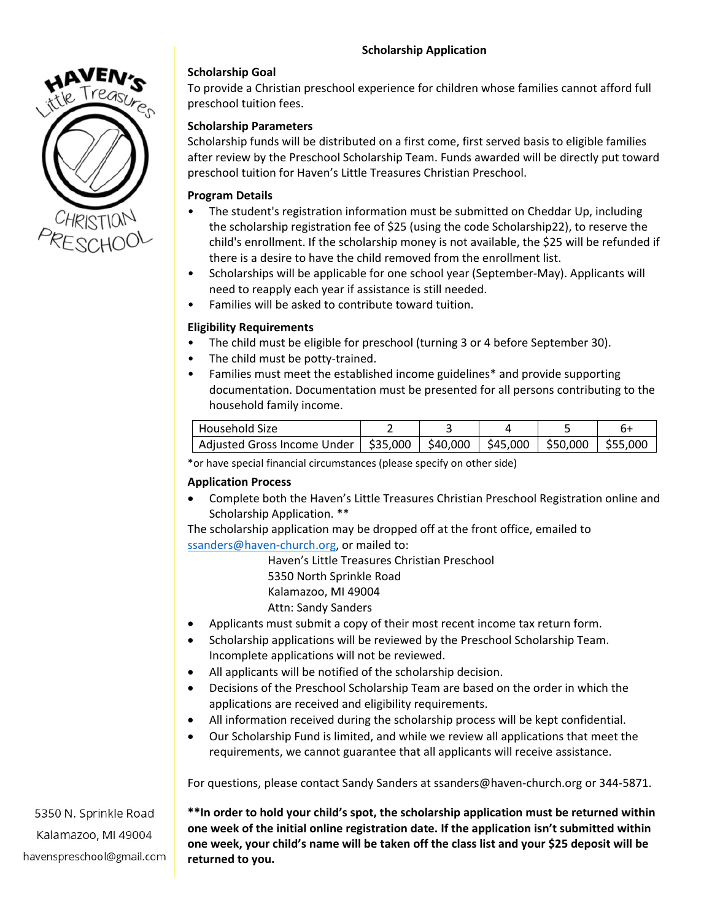

## **Scholarship Goal**

To provide a Christian preschool experience for children whose families cannot afford full preschool tuition fees.

# **Scholarship Parameters**

Scholarship funds will be distributed on a first come, first served basis to eligible families after review by the Preschool Scholarship Team. Funds awarded will be directly put toward preschool tuition for Haven's Little Treasures Christian Preschool.

### **Program Details**

- The student's registration information must be submitted on Cheddar Up, including the scholarship registration fee of \$25 (using the code Scholarship22), to reserve the child's enrollment. If the scholarship money is not available, the \$25 will be refunded if there is a desire to have the child removed from the enrollment list.
- Scholarships will be applicable for one school year (September-May). Applicants will need to reapply each year if assistance is still needed.
- Families will be asked to contribute toward tuition.

## **Eligibility Requirements**

- The child must be eligible for preschool (turning 3 or 4 before September 30).
- The child must be potty-trained.
- Families must meet the established income guidelines\* and provide supporting documentation. Documentation must be presented for all persons contributing to the household family income.

| l Household Size                                  |  |                                |  |
|---------------------------------------------------|--|--------------------------------|--|
| Adjusted Gross Income Under   \$35,000   \$40,000 |  | \$45,000   \$50,000   \$55,000 |  |

\*or have special financial circumstances (please specify on other side)

#### **Application Process**

• Complete both the Haven's Little Treasures Christian Preschool Registration online and Scholarship Application. \*\*

The scholarship application may be dropped off at the front office, emailed to [ssanders@haven-church.org,](mailto:ssanders@haven-church.org) or mailed to:

> Haven's Little Treasures Christian Preschool 5350 North Sprinkle Road Kalamazoo, MI 49004 Attn: Sandy Sanders

- Applicants must submit a copy of their most recent income tax return form.
- Scholarship applications will be reviewed by the Preschool Scholarship Team. Incomplete applications will not be reviewed.
- All applicants will be notified of the scholarship decision.
- Decisions of the Preschool Scholarship Team are based on the order in which the applications are received and eligibility requirements.
- All information received during the scholarship process will be kept confidential.
- Our Scholarship Fund is limited, and while we review all applications that meet the requirements, we cannot guarantee that all applicants will receive assistance.

For questions, please contact Sandy Sanders at ssanders@haven-church.org or 344-5871.

5350 N. Sprinkle Road Kalamazoo, MI 49004 havenspreschool@gmail.com **\*\*In order to hold your child's spot, the scholarship application must be returned within one week of the initial online registration date. If the application isn't submitted within one week, your child's name will be taken off the class list and your \$25 deposit will be returned to you.**